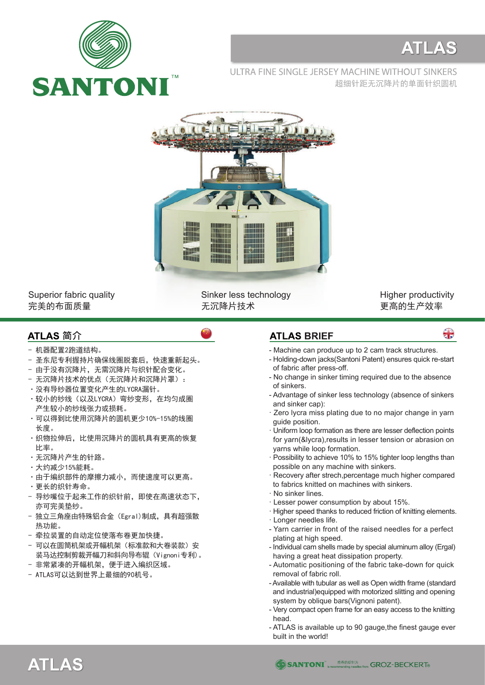

## **ATLAS**

ULTRA FINE SINGLE JERSEY MACHINE WITHOUT SINKERS 超细针距无沉降片的单面针织圆机



Superior fabric quality 完美的布面质量

Sinker less technology 无沉降片技术

Higher productivity 更高的生产效率

용

## ATLAS 简介

- 机器配置2跑道结构。
- 圣东尼专利握持片确保线圈脱套后,快速重新起头。
- 由于没有沉降片, 无需沉降片与织针配合变化。
- 无沉降片技术的优点(无沉降片和沉降片罩):
- ·没有导纱器位置变化产生的LYCRA漏针。
- ·较小的纱线(以及LYCRA)弯纱变形,在均匀成圈 产生较小的纱线张力或损耗。
- ·可以得到比使用沉降片的圆机更少10%-15%的线圈 长度。
- ·织物拉伸后,比使用沉降片的圆机具有更高的恢复 比率。
- ·无沉降片产生的针路。
- ·大约减少15%能耗。
- ·由于编织部件的摩擦力减小,而使速度可以更高。
- ·更长的织针寿命。
- 导纱嘴位于起来工作的织针前,即使在高速状态下, 亦可完美垫纱。
- 独立三角座由特殊铝合金(Egral)制成,具有超强散 热功能。
- 牵拉装置的自动定位使落布卷更加快捷。
- 可以在圆筒机架或开幅机架(标准款和大卷装款)安 装马达控制剪裁开幅刀和斜向导布辊(Vignoni专利)。
- 非常紧凑的开幅机架,便于进入编织区域。
- ATLAS可以达到世界上最细的90机号。

## **ATLAS BRIEF**

- Machine can produce up to 2 cam track structures.
- Holding-down jacks(Santoni Patent) ensures quick re-start of fabric after press-off.
- No change in sinker timing required due to the absence of sinkers.
- Advantage of sinker less technology (absence of sinkers and sinker cap):
- · Zero lycra miss plating due to no major change in yarn guide position.
- · Uniform loop formation as there are lesser deflection points for yarn(&lycra),results in lesser tension or abrasion on yarns while loop formation.
- · Possibility to achieve 10% to 15% tighter loop lengths than possible on any machine with sinkers.
- Recovery after strech, percentage much higher compared to fabrics knitted on machines with sinkers.
- · No sinker lines.
- · Lesser power consumption by about 15%.
- · Higher speed thanks to reduced friction of knitting elements.
- · Longer needles life.
- Yarn carrier in front of the raised needles for a perfect plating at high speed.
- Individual cam shells made by special aluminum alloy (Ergal) having a great heat dissipation property.
- Automatic positioning of the fabric take-down for quick removal of fabric roll.
- Available with tubular as well as Open width frame (standard and industrial)equipped with motorized slitting and opening system by oblique bars(Vignoni patent).
- Very compact open frame for an easy access to the knitting head.
- ATLAS is available up to 90 gauge,the finest gauge ever built in the world!